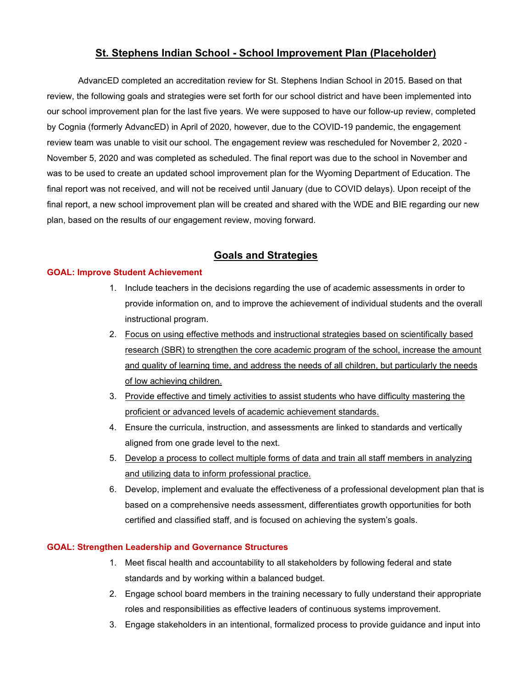# **St. Stephens Indian School - School Improvement Plan (Placeholder)**

AdvancED completed an accreditation review for St. Stephens Indian School in 2015. Based on that review, the following goals and strategies were set forth for our school district and have been implemented into our school improvement plan for the last five years. We were supposed to have our follow-up review, completed by Cognia (formerly AdvancED) in April of 2020, however, due to the COVID-19 pandemic, the engagement review team was unable to visit our school. The engagement review was rescheduled for November 2, 2020 - November 5, 2020 and was completed as scheduled. The final report was due to the school in November and was to be used to create an updated school improvement plan for the Wyoming Department of Education. The final report was not received, and will not be received until January (due to COVID delays). Upon receipt of the final report, a new school improvement plan will be created and shared with the WDE and BIE regarding our new plan, based on the results of our engagement review, moving forward.

# **Goals and Strategies**

#### **GOAL: Improve Student Achievement**

- 1. Include teachers in the decisions regarding the use of academic assessments in order to provide information on, and to improve the achievement of individual students and the overall instructional program.
- 2. Focus on using effective methods and instructional strategies based on scientifically based research (SBR) to strengthen the core academic program of the school, increase the amount and quality of learning time, and address the needs of all children, but particularly the needs of low achieving children.
- 3. Provide effective and timely activities to assist students who have difficulty mastering the proficient or advanced levels of academic achievement standards.
- 4. Ensure the curricula, instruction, and assessments are linked to standards and vertically aligned from one grade level to the next.
- 5. Develop a process to collect multiple forms of data and train all staff members in analyzing and utilizing data to inform professional practice.
- 6. Develop, implement and evaluate the effectiveness of a professional development plan that is based on a comprehensive needs assessment, differentiates growth opportunities for both certified and classified staff, and is focused on achieving the system's goals.

#### **GOAL: Strengthen Leadership and Governance Structures**

- 1. Meet fiscal health and accountability to all stakeholders by following federal and state standards and by working within a balanced budget.
- 2. Engage school board members in the training necessary to fully understand their appropriate roles and responsibilities as effective leaders of continuous systems improvement.
- 3. Engage stakeholders in an intentional, formalized process to provide guidance and input into